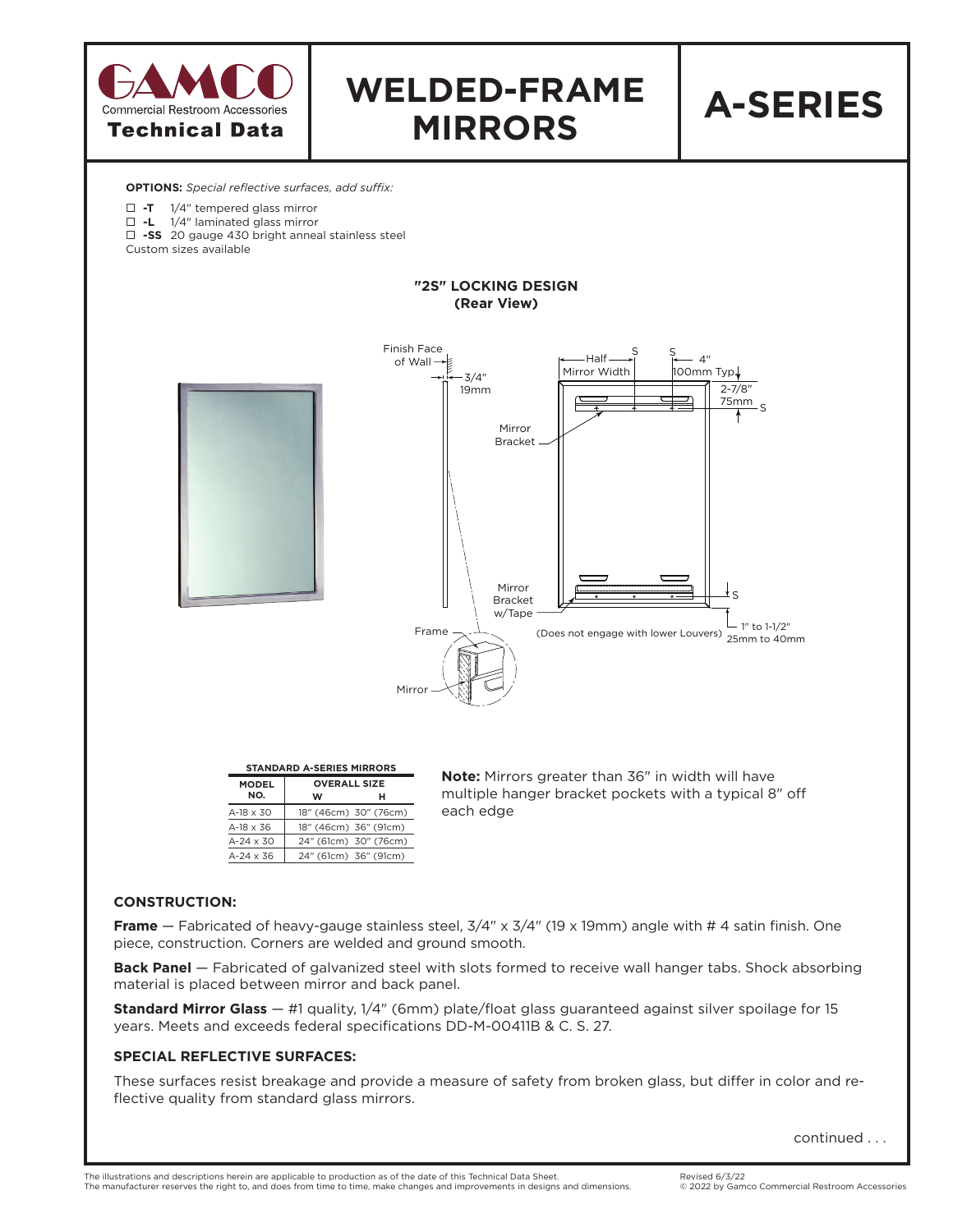

**Back Panel** — Fabricated of galvanized steel with slots formed to receive wall hanger tabs. Shock absorbing material is placed between mirror and back panel.

**Standard Mirror Glass** — #1 quality, 1/4" (6mm) plate/float glass guaranteed against silver spoilage for 15 years. Meets and exceeds federal specifications DD-M-00411B & C. S. 27.

## **SPECIAL REFLECTIVE SURFACES:**

These surfaces resist breakage and provide a measure of safety from broken glass, but differ in color and reflective quality from standard glass mirrors.

continued . . .